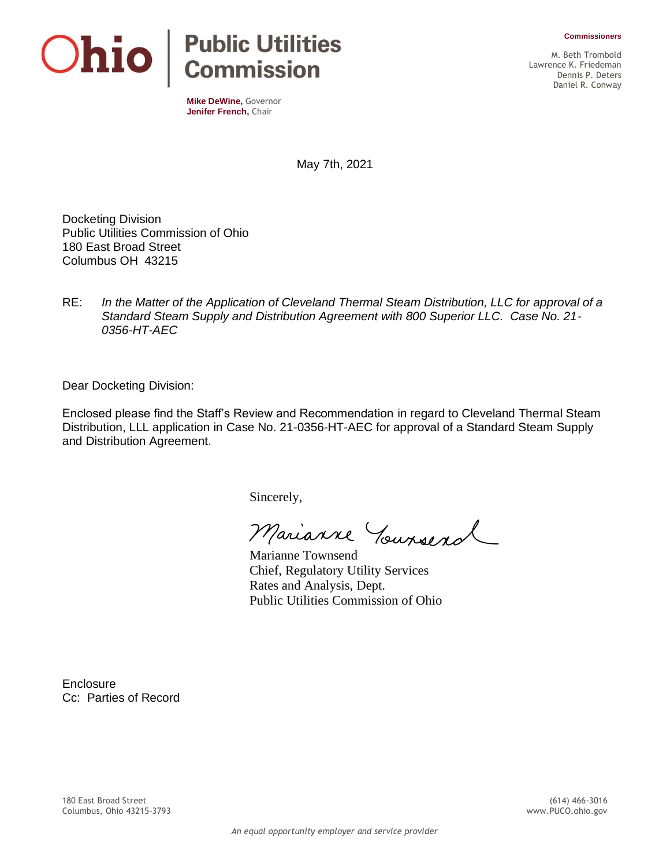**Commissioners**



**Mike DeWine,** Governor **Jenifer French,** Chair

M. Beth Trombold Lawrence K. Friedeman Dennis P. Deters Daniel R. Conway

May 7th, 2021

Docketing Division Public Utilities Commission of Ohio 180 East Broad Street Columbus OH 43215

RE: *In the Matter of the Application of Cleveland Thermal Steam Distribution, LLC for approval of a Standard Steam Supply and Distribution Agreement with 800 Superior LLC. Case No. 21- 0356-HT-AEC*

Dear Docketing Division:

Enclosed please find the Staff's Review and Recommendation in regard to Cleveland Thermal Steam Distribution, LLL application in Case No. 21-0356-HT-AEC for approval of a Standard Steam Supply and Distribution Agreement.

Sincerely,

Marianne Yoursend

Marianne Townsend Chief, Regulatory Utility Services Rates and Analysis, Dept. Public Utilities Commission of Ohio

**Enclosure** Cc: Parties of Record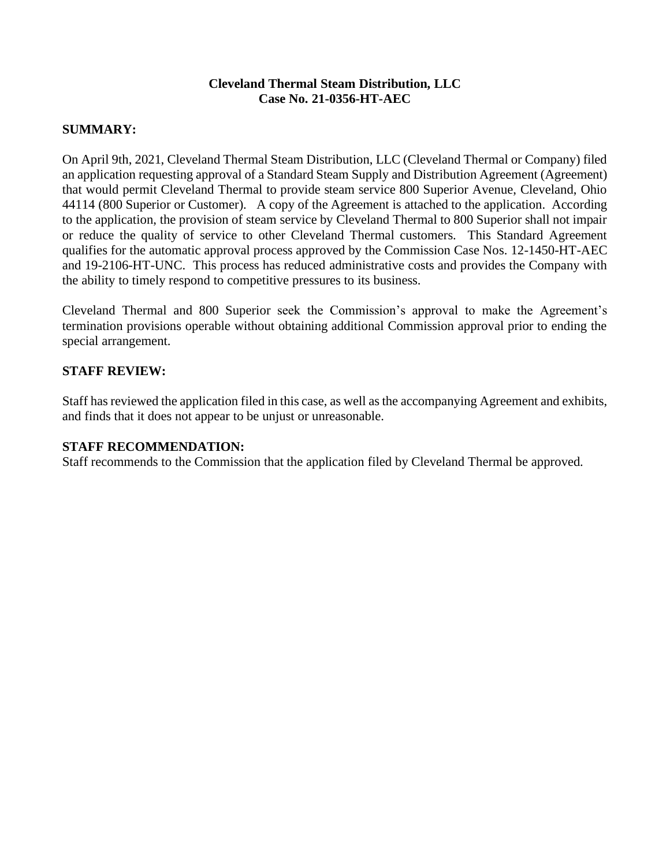## **Cleveland Thermal Steam Distribution, LLC Case No. 21-0356-HT-AEC**

## **SUMMARY:**

On April 9th, 2021, Cleveland Thermal Steam Distribution, LLC (Cleveland Thermal or Company) filed an application requesting approval of a Standard Steam Supply and Distribution Agreement (Agreement) that would permit Cleveland Thermal to provide steam service 800 Superior Avenue, Cleveland, Ohio 44114 (800 Superior or Customer). A copy of the Agreement is attached to the application. According to the application, the provision of steam service by Cleveland Thermal to 800 Superior shall not impair or reduce the quality of service to other Cleveland Thermal customers. This Standard Agreement qualifies for the automatic approval process approved by the Commission Case Nos. 12-1450-HT-AEC and 19-2106-HT-UNC. This process has reduced administrative costs and provides the Company with the ability to timely respond to competitive pressures to its business.

Cleveland Thermal and 800 Superior seek the Commission's approval to make the Agreement's termination provisions operable without obtaining additional Commission approval prior to ending the special arrangement.

## **STAFF REVIEW:**

Staff has reviewed the application filed in this case, as well as the accompanying Agreement and exhibits, and finds that it does not appear to be unjust or unreasonable.

## **STAFF RECOMMENDATION:**

Staff recommends to the Commission that the application filed by Cleveland Thermal be approved.